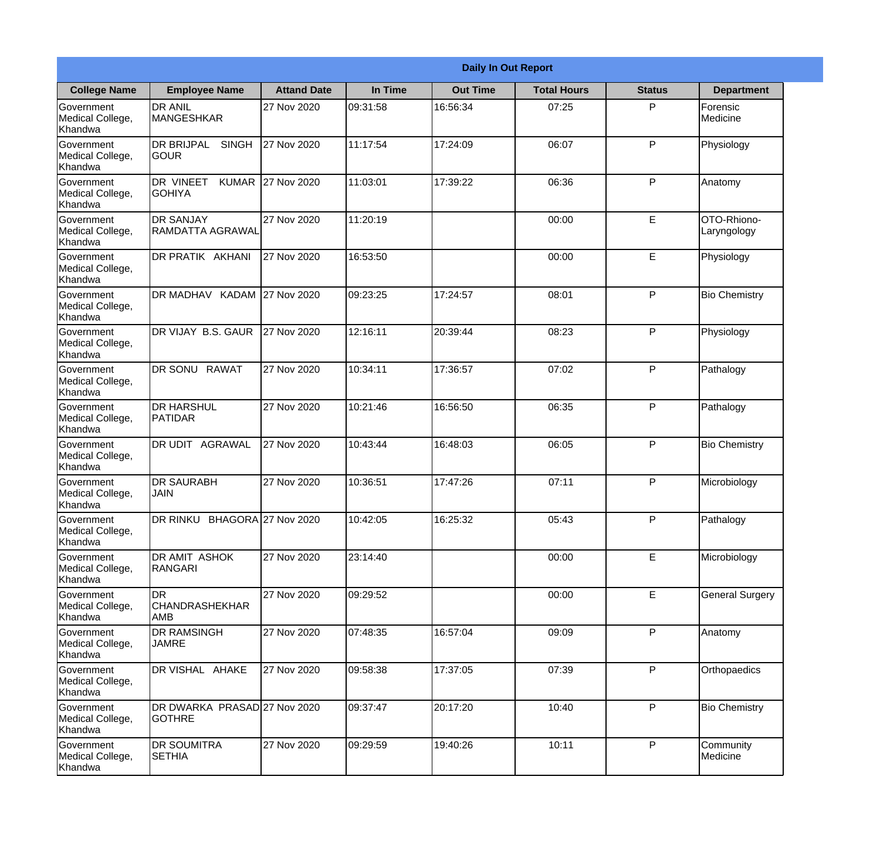|                                                  |                                                     |                    |          | <b>Daily In Out Report</b> |                    |               |                            |
|--------------------------------------------------|-----------------------------------------------------|--------------------|----------|----------------------------|--------------------|---------------|----------------------------|
| <b>College Name</b>                              | <b>Employee Name</b>                                | <b>Attand Date</b> | In Time  | <b>Out Time</b>            | <b>Total Hours</b> | <b>Status</b> | <b>Department</b>          |
| Government<br>Medical College,<br>Khandwa        | <b>DR ANIL</b><br>MANGESHKAR                        | 27 Nov 2020        | 09:31:58 | 16:56:34                   | 07:25              | P             | Forensic<br>Medicine       |
| Government<br>Medical College,<br>Khandwa        | <b>DR BRIJPAL</b><br><b>SINGH</b><br> GOUR          | 27 Nov 2020        | 11:17:54 | 17:24:09                   | 06:07              | P             | Physiology                 |
| <b>Government</b><br>Medical College,<br>Khandwa | <b>DR VINEET</b><br><b>KUMAR</b><br><b>I</b> GOHIYA | 27 Nov 2020        | 11:03:01 | 17:39:22                   | 06:36              | P             | Anatomy                    |
| Government<br>Medical College,<br>Khandwa        | <b>DR SANJAY</b><br><b>RAMDATTA AGRAWAL</b>         | 27 Nov 2020        | 11:20:19 |                            | 00:00              | E             | OTO-Rhiono-<br>Laryngology |
| Government<br>Medical College,<br>Khandwa        | <b>DR PRATIK AKHANI</b>                             | 27 Nov 2020        | 16:53:50 |                            | 00:00              | E             | Physiology                 |
| Government<br>Medical College,<br>Khandwa        | DR MADHAV KADAM 27 Nov 2020                         |                    | 09:23:25 | 17:24:57                   | 08:01              | P             | <b>Bio Chemistry</b>       |
| Government<br>Medical College,<br>Khandwa        | DR VIJAY B.S. GAUR                                  | 27 Nov 2020        | 12:16:11 | 20:39:44                   | 08:23              | P             | Physiology                 |
| <b>Government</b><br>Medical College,<br>Khandwa | DR SONU RAWAT                                       | 27 Nov 2020        | 10:34:11 | 17:36:57                   | 07:02              | P             | Pathalogy                  |
| Government<br>Medical College,<br>Khandwa        | <b>DR HARSHUL</b><br>PATIDAR                        | 27 Nov 2020        | 10:21:46 | 16:56:50                   | 06:35              | P             | Pathalogy                  |
| Government<br>Medical College,<br>Khandwa        | DR UDIT<br><b>AGRAWAL</b>                           | 27 Nov 2020        | 10:43:44 | 16:48:03                   | 06:05              | P             | <b>Bio Chemistry</b>       |
| Government<br>Medical College,<br>Khandwa        | <b>IDR SAURABH</b><br><b>JAIN</b>                   | 27 Nov 2020        | 10:36:51 | 17:47:26                   | 07:11              | $\mathsf{P}$  | Microbiology               |
| Government<br>Medical College,<br>Khandwa        | DR RINKU BHAGORA 27 Nov 2020                        |                    | 10:42:05 | 16:25:32                   | 05:43              | P             | Pathalogy                  |
| Government<br>Medical College,<br>Khandwa        | <b>DR AMIT ASHOK</b><br>RANGARI                     | 27 Nov 2020        | 23:14:40 |                            | 00:00              | E             | Microbiology               |
| Government<br>Medical College,<br>Khandwa        | <b>DR</b><br><b>CHANDRASHEKHAR</b><br><b>AMB</b>    | 27 Nov 2020        | 09:29:52 |                            | 00:00              | E             | <b>General Surgery</b>     |
| Government<br>Medical College,<br>Khandwa        | <b>DR RAMSINGH</b><br><b>JAMRE</b>                  | 27 Nov 2020        | 07:48:35 | 16:57:04                   | 09:09              | $\mathsf{P}$  | Anatomy                    |
| Government<br>Medical College,<br>Khandwa        | DR VISHAL AHAKE                                     | 27 Nov 2020        | 09:58:38 | 17:37:05                   | 07:39              | P             | Orthopaedics               |
| Government<br>Medical College,<br>Khandwa        | DR DWARKA PRASAD 27 Nov 2020<br><b>GOTHRE</b>       |                    | 09:37:47 | 20:17:20                   | 10:40              | P             | <b>Bio Chemistry</b>       |
| Government<br>Medical College,<br>Khandwa        | <b>DR SOUMITRA</b><br><b>SETHIA</b>                 | 27 Nov 2020        | 09:29:59 | 19:40:26                   | 10:11              | P             | Community<br>Medicine      |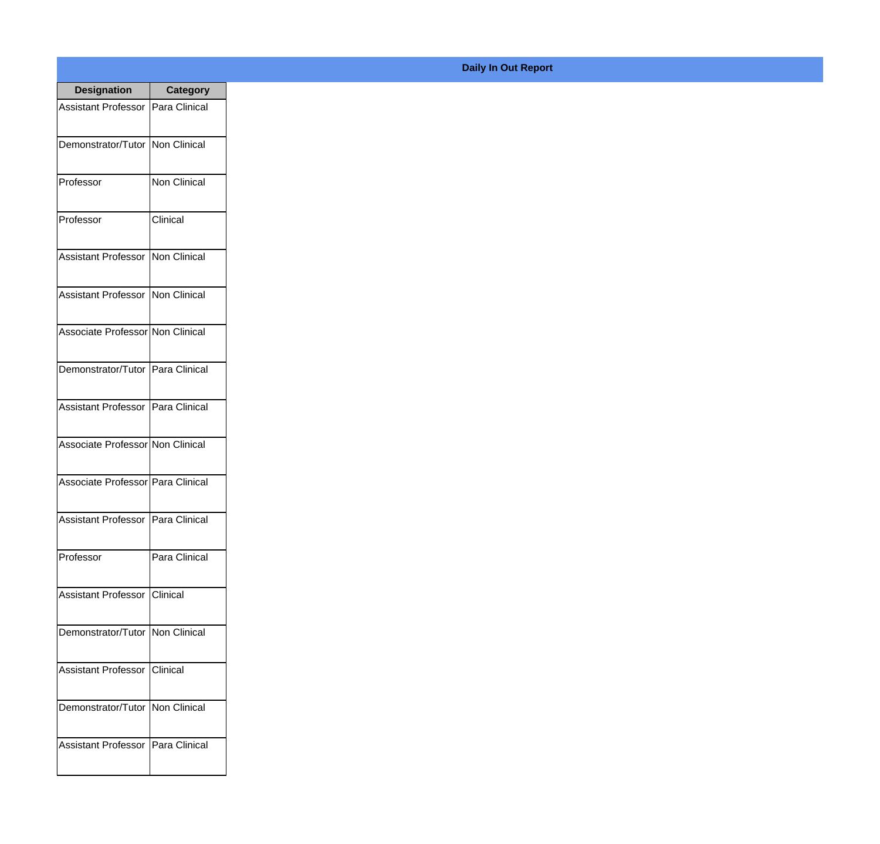| <b>Designation</b>                  | <b>Category</b>     |
|-------------------------------------|---------------------|
| Assistant Professor   Para Clinical |                     |
| Demonstrator/Tutor   Non Clinical   |                     |
| Professor                           | Non Clinical        |
| Professor                           | Clinical            |
| <b>Assistant Professor</b>          | <b>Non Clinical</b> |
| <b>Assistant Professor</b>          | Non Clinical        |
| Associate Professor Non Clinical    |                     |
| Demonstrator/Tutor   Para Clinical  |                     |
| Assistant Professor   Para Clinical |                     |
| Associate Professor Non Clinical    |                     |
| Associate Professor   Para Clinical |                     |
| Assistant Professor   Para Clinical |                     |
| Professor                           | Para Clinical       |
| Assistant Professor   Clinical      |                     |
| Demonstrator/Tutor                  | Non Clinical        |
| <b>Assistant Professor</b>          | Clinical            |
| Demonstrator/Tutor   Non Clinical   |                     |
| <b>Assistant Professor</b>          | Para Clinical       |

## **Daily In Out Report**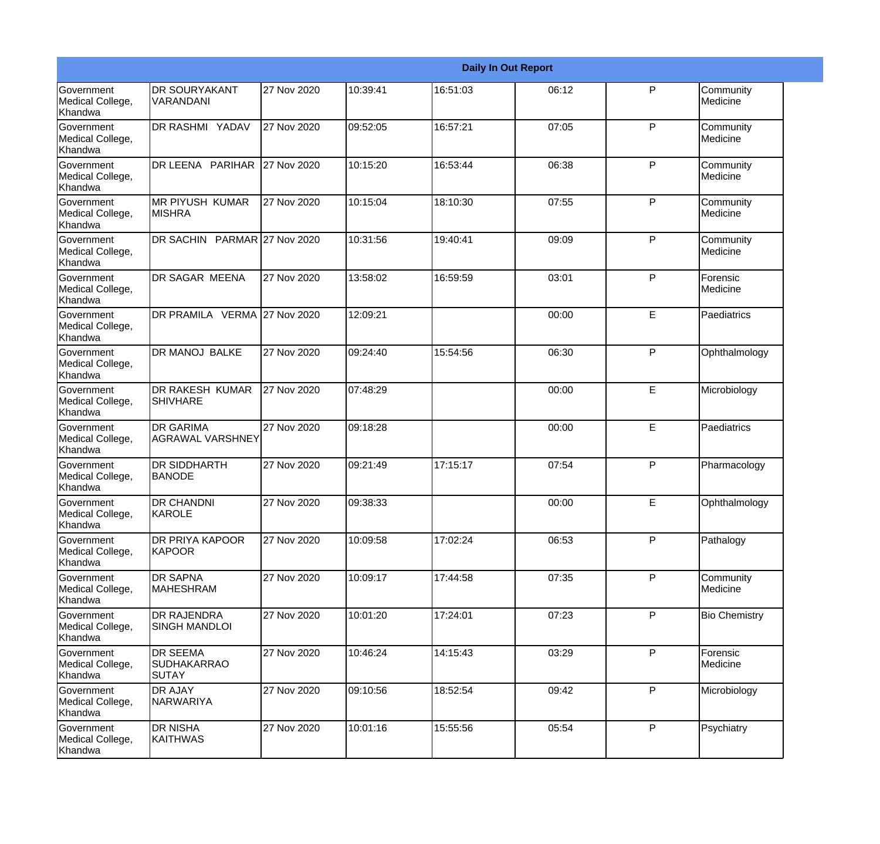|                                                         |                                                       |             |           |          | <b>Daily In Out Report</b> |              |                             |
|---------------------------------------------------------|-------------------------------------------------------|-------------|-----------|----------|----------------------------|--------------|-----------------------------|
| Government<br>Medical College,<br>Khandwa               | <b>DR SOURYAKANT</b><br>VARANDANI                     | 27 Nov 2020 | 10:39:41  | 16:51:03 | 06:12                      | P            | Community<br>Medicine       |
| Government<br>Medical College,<br>Khandwa               | <b>DR RASHMI YADAV</b>                                | 27 Nov 2020 | 09:52:05  | 16:57:21 | 07:05                      | P            | Community<br>Medicine       |
| <b>Government</b><br>Medical College,<br>Khandwa        | DR LEENA PARIHAR                                      | 27 Nov 2020 | 10:15:20  | 16:53:44 | 06:38                      | P            | Community<br>Medicine       |
| <b>Government</b><br>Medical College,<br>Khandwa        | <b>IMR PIYUSH KUMAR</b><br><b>MISHRA</b>              | 27 Nov 2020 | 10:15:04  | 18:10:30 | 07:55                      | P            | Community<br>Medicine       |
| Government<br>Medical College,<br>Khandwa               | DR SACHIN PARMAR 27 Nov 2020                          |             | 10:31:56  | 19:40:41 | 09:09                      | P            | Community<br>Medicine       |
| Government<br>Medical College,<br>Khandwa               | <b>DR SAGAR MEENA</b>                                 | 27 Nov 2020 | 13:58:02  | 16:59:59 | 03:01                      | $\mathsf{P}$ | Forensic<br><b>Medicine</b> |
| Government<br>Medical College,<br>Khandwa               | DR PRAMILA VERMA 27 Nov 2020                          |             | 12:09:21  |          | 00:00                      | E            | Paediatrics                 |
| Government<br>Medical College,<br>Khandwa               | DR MANOJ BALKE                                        | 27 Nov 2020 | 09:24:40  | 15:54:56 | 06:30                      | $\mathsf{P}$ | Ophthalmology               |
| Government<br>Medical College,<br>Khandwa               | DR RAKESH KUMAR<br><b>SHIVHARE</b>                    | 27 Nov 2020 | 07:48:29  |          | 00:00                      | E            | Microbiology                |
| <b>Government</b><br>Medical College,<br><b>Khandwa</b> | <b>DR GARIMA</b><br><b>AGRAWAL VARSHNEY</b>           | 27 Nov 2020 | 09:18:28  |          | 00:00                      | E            | Paediatrics                 |
| <b>Government</b><br>Medical College,<br>Khandwa        | <b>DR SIDDHARTH</b><br><b>BANODE</b>                  | 27 Nov 2020 | 109:21:49 | 17:15:17 | 07:54                      | P            | Pharmacology                |
| Government<br>Medical College,<br>Khandwa               | <b>DR CHANDNI</b><br>KAROLE                           | 27 Nov 2020 | 09:38:33  |          | 00:00                      | E            | Ophthalmology               |
| Government<br>Medical College,<br>Khandwa               | DR PRIYA KAPOOR<br><b>KAPOOR</b>                      | 27 Nov 2020 | 10:09:58  | 17:02:24 | 06:53                      | P            | Pathalogy                   |
| Government<br>Medical College,<br>Khandwa               | <b>DR SAPNA</b><br>MAHESHRAM                          | 27 Nov 2020 | 10:09:17  | 17:44:58 | 07:35                      | P            | Community<br>Medicine       |
| Government<br>Medical College,<br>Khandwa               | <b>DR RAJENDRA</b><br><b>SINGH MANDLOI</b>            | 27 Nov 2020 | 10:01:20  | 17:24:01 | 07:23                      | P            | <b>Bio Chemistry</b>        |
| Government<br>Medical College,<br>Khandwa               | <b>DR SEEMA</b><br><b>SUDHAKARRAO</b><br><b>SUTAY</b> | 27 Nov 2020 | 10:46:24  | 14:15:43 | 03:29                      | $\mathsf{P}$ | Forensic<br>Medicine        |
| Government<br>Medical College,<br>Khandwa               | DR AJAY<br>NARWARIYA                                  | 27 Nov 2020 | 09:10:56  | 18:52:54 | 09:42                      | P            | Microbiology                |
| Government<br>Medical College,<br>Khandwa               | <b>DR NISHA</b><br>KAITHWAS                           | 27 Nov 2020 | 10:01:16  | 15:55:56 | 05:54                      | P            | Psychiatry                  |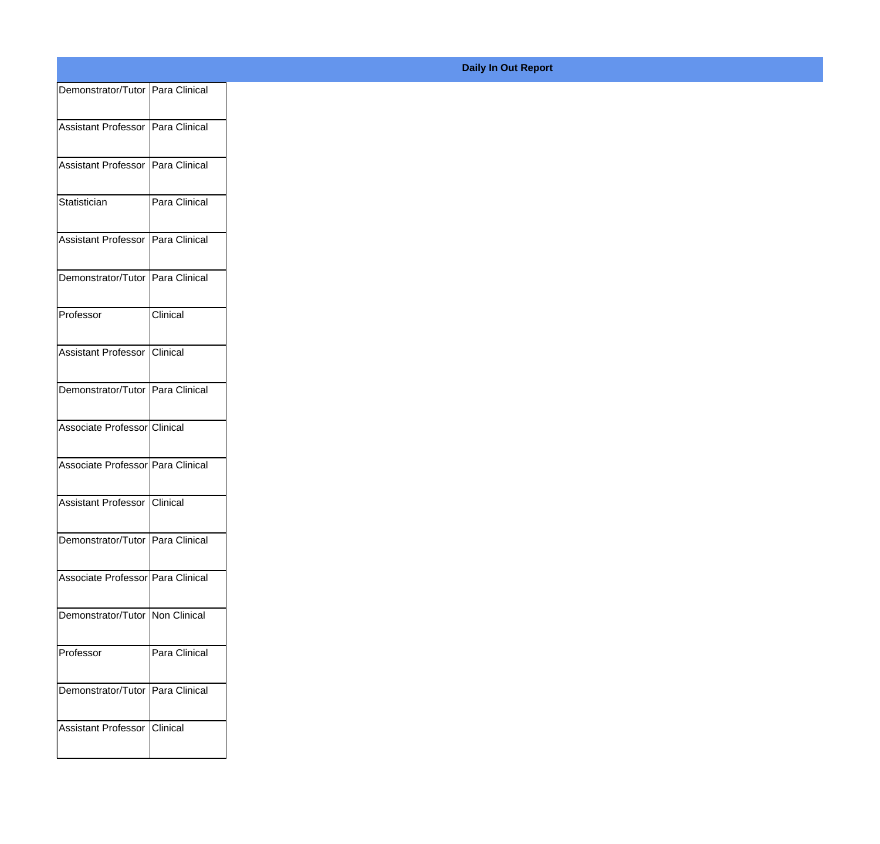| Demonstrator/Tutor Para Clinical  |               |
|-----------------------------------|---------------|
| Assistant Professor Para Clinical |               |
|                                   |               |
| Assistant Professor Para Clinical |               |
| Statistician                      | Para Clinical |
| Assistant Professor Para Clinical |               |
| Demonstrator/Tutor Para Clinical  |               |
| Professor                         | Clinical      |
| Assistant Professor Clinical      |               |
| Demonstrator/Tutor Para Clinical  |               |
| Associate Professor Clinical      |               |
| Associate Professor Para Clinical |               |
| Assistant Professor Clinical      |               |
| Demonstrator/Tutor Para Clinical  |               |
| Associate Professor Para Clinical |               |
| Demonstrator/Tutor Non Clinical   |               |
| Professor                         | Para Clinical |
| Demonstrator/Tutor Para Clinical  |               |
| Assistant Professor Clinical      |               |
|                                   |               |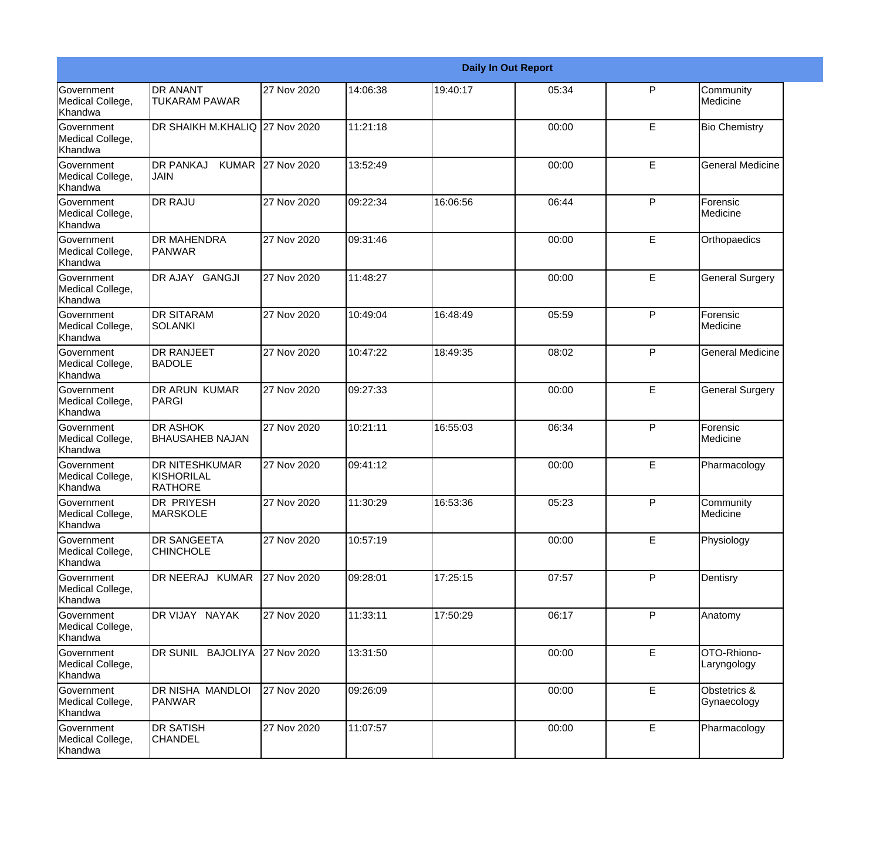|                                                  |                                                       |             |          |          | <b>Daily In Out Report</b> |              |                             |
|--------------------------------------------------|-------------------------------------------------------|-------------|----------|----------|----------------------------|--------------|-----------------------------|
| <b>Government</b><br>Medical College,<br>Khandwa | <b>DR ANANT</b><br><b>TUKARAM PAWAR</b>               | 27 Nov 2020 | 14:06:38 | 19:40:17 | 05:34                      | $\mathsf{P}$ | Community<br>Medicine       |
| Government<br>Medical College,<br>Khandwa        | DR SHAIKH M.KHALIQ 27 Nov 2020                        |             | 11:21:18 |          | 00:00                      | E            | <b>Bio Chemistry</b>        |
| <b>Government</b><br>Medical College,<br>Khandwa | <b>DR PANKAJ</b><br><b>KUMAR</b><br>JAIN              | 27 Nov 2020 | 13:52:49 |          | 00:00                      | E            | <b>General Medicine</b>     |
| <b>Government</b><br>Medical College,<br>Khandwa | <b>DR RAJU</b>                                        | 27 Nov 2020 | 09:22:34 | 16:06:56 | 06:44                      | P            | Forensic<br>Medicine        |
| <b>Government</b><br>Medical College,<br>Khandwa | <b>DR MAHENDRA</b><br>PANWAR                          | 27 Nov 2020 | 09:31:46 |          | 00:00                      | E            | Orthopaedics                |
| Government<br>Medical College,<br><b>Khandwa</b> | DR AJAY GANGJI                                        | 27 Nov 2020 | 11:48:27 |          | 00:00                      | E            | <b>General Surgery</b>      |
| <b>Government</b><br>Medical College,<br>Khandwa | <b>DR SITARAM</b><br><b>SOLANKI</b>                   | 27 Nov 2020 | 10:49:04 | 16:48:49 | 05:59                      | P            | Forensic<br>Medicine        |
| Government<br>Medical College,<br>Khandwa        | <b>DR RANJEET</b><br><b>BADOLE</b>                    | 27 Nov 2020 | 10:47:22 | 18:49:35 | 08:02                      | $\mathsf{P}$ | <b>General Medicine</b>     |
| Government<br>Medical College,<br>Khandwa        | <b>DR ARUN KUMAR</b><br>PARGI                         | 27 Nov 2020 | 09:27:33 |          | 00:00                      | E            | <b>General Surgery</b>      |
| <b>Government</b><br>Medical College,<br>Khandwa | <b>DR ASHOK</b><br><b>BHAUSAHEB NAJAN</b>             | 27 Nov 2020 | 10:21:11 | 16:55:03 | 06:34                      | P            | Forensic<br>Medicine        |
| <b>Government</b><br>Medical College,<br>Khandwa | <b>DR NITESHKUMAR</b><br>KISHORILAL<br><b>RATHORE</b> | 27 Nov 2020 | 09:41:12 |          | 00:00                      | E            | Pharmacology                |
| Government<br>Medical College,<br>Khandwa        | DR PRIYESH<br><b>MARSKOLE</b>                         | 27 Nov 2020 | 11:30:29 | 16:53:36 | 05:23                      | P            | Community<br>Medicine       |
| Government<br>Medical College,<br>Khandwa        | <b>DR SANGEETA</b><br><b>CHINCHOLE</b>                | 27 Nov 2020 | 10:57:19 |          | 00:00                      | E            | Physiology                  |
| Government<br>Medical College,<br>Khandwa        | DR NEERAJ KUMAR                                       | 27 Nov 2020 | 09:28:01 | 17:25:15 | 07:57                      | P            | Dentisry                    |
| Government<br>Medical College,<br>Khandwa        | DR VIJAY NAYAK                                        | 27 Nov 2020 | 11:33:11 | 17:50:29 | 06:17                      | P            | Anatomy                     |
| Government<br>Medical College,<br>Khandwa        | DR SUNIL BAJOLIYA                                     | 27 Nov 2020 | 13:31:50 |          | 00:00                      | E            | OTO-Rhiono-<br>Laryngology  |
| Government<br>Medical College,<br>Khandwa        | DR NISHA MANDLOI<br>PANWAR                            | 27 Nov 2020 | 09:26:09 |          | 00:00                      | E            | Obstetrics &<br>Gynaecology |
| Government<br>Medical College,<br>Khandwa        | <b>DR SATISH</b><br><b>CHANDEL</b>                    | 27 Nov 2020 | 11:07:57 |          | 00:00                      | E            | Pharmacology                |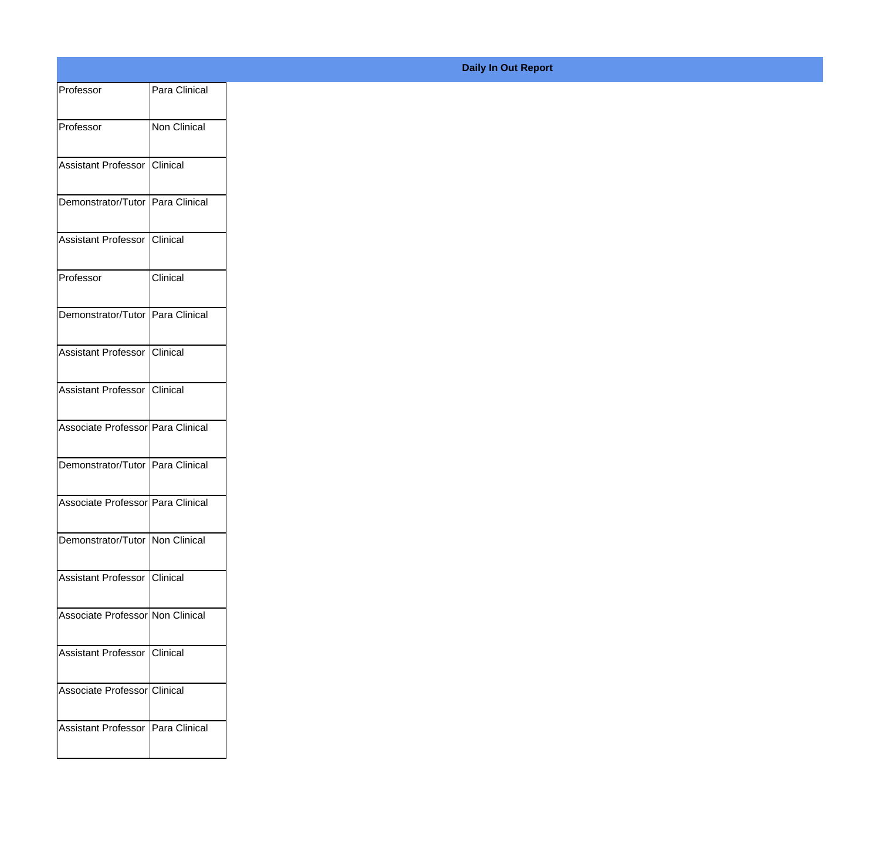| Professor                         | Para Clinical |
|-----------------------------------|---------------|
| Professor                         | Non Clinical  |
|                                   |               |
| Assistant Professor Clinical      |               |
| Demonstrator/Tutor Para Clinical  |               |
| Assistant Professor Clinical      |               |
| Professor                         | Clinical      |
|                                   |               |
| Demonstrator/Tutor Para Clinical  |               |
| Assistant Professor Clinical      |               |
| Assistant Professor Clinical      |               |
| Associate Professor Para Clinical |               |
|                                   |               |
| Demonstrator/Tutor Para Clinical  |               |
| Associate Professor Para Clinical |               |
| Demonstrator/Tutor   Non Clinical |               |
| Assistant Professor Clinical      |               |
|                                   |               |
| Associate Professor Non Clinical  |               |
| Assistant Professor Clinical      |               |
| Associate Professor Clinical      |               |
|                                   |               |
| Assistant Professor Para Clinical |               |
|                                   |               |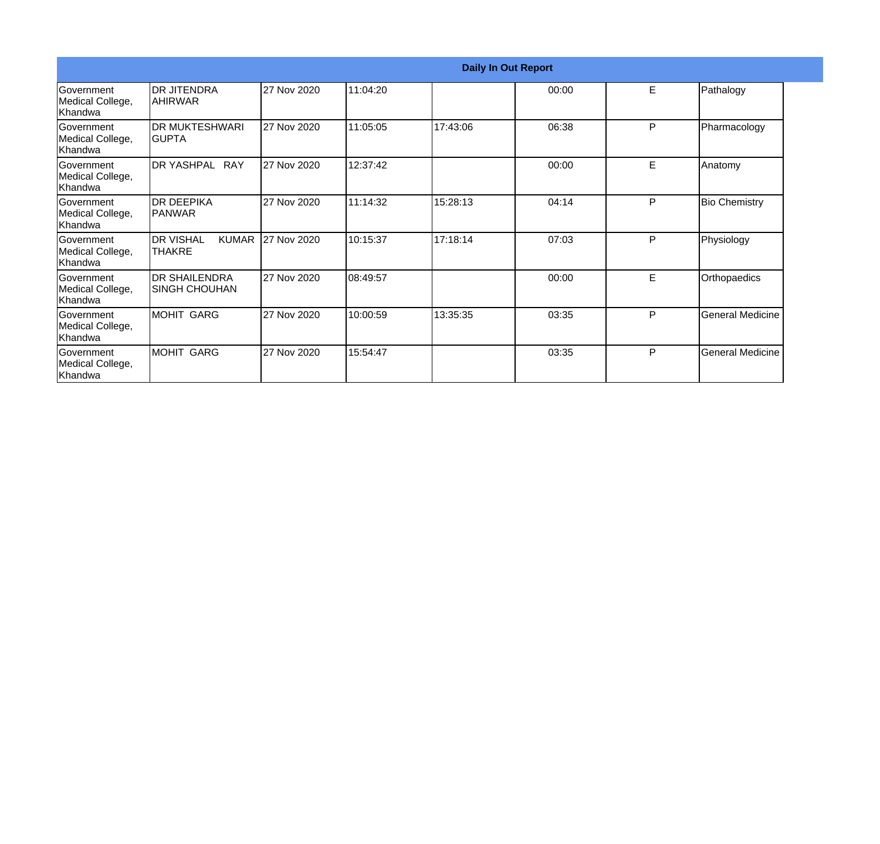|                                                  |                                                   |             |          | <b>Daily In Out Report</b> |       |    |                         |
|--------------------------------------------------|---------------------------------------------------|-------------|----------|----------------------------|-------|----|-------------------------|
| Government<br>Medical College,<br>Khandwa        | <b>DR JITENDRA</b><br><b>AHIRWAR</b>              | 27 Nov 2020 | 11:04:20 |                            | 00:00 | E. | Pathalogy               |
| Government<br>Medical College,<br>Khandwa        | DR MUKTESHWARI<br>IGUPTA                          | 27 Nov 2020 | 11:05:05 | 17:43:06                   | 06:38 | P  | Pharmacology            |
| <b>Government</b><br>Medical College,<br>Khandwa | DR YASHPAL RAY                                    | 27 Nov 2020 | 12:37:42 |                            | 00:00 | E  | Anatomy                 |
| <b>Government</b><br>Medical College,<br>Khandwa | <b>DR DEEPIKA</b><br>IPANWAR                      | 27 Nov 2020 | 11:14:32 | 15:28:13                   | 04:14 | P  | <b>Bio Chemistry</b>    |
| Government<br>Medical College,<br>Khandwa        | <b>DR VISHAL</b><br><b>KUMAR</b><br><b>THAKRE</b> | 27 Nov 2020 | 10:15:37 | 17:18:14                   | 07:03 | P  | Physiology              |
| Government<br>Medical College,<br>Khandwa        | <b>DR SHAILENDRA</b><br><b>SINGH CHOUHAN</b>      | 27 Nov 2020 | 08:49:57 |                            | 00:00 | E  | Orthopaedics            |
| <b>Government</b><br>Medical College,<br>Khandwa | MOHIT GARG                                        | 27 Nov 2020 | 10:00:59 | 13:35:35                   | 03:35 | P  | <b>General Medicine</b> |
| Government<br>Medical College,<br>Khandwa        | MOHIT GARG                                        | 27 Nov 2020 | 15:54:47 |                            | 03:35 | P  | <b>General Medicine</b> |